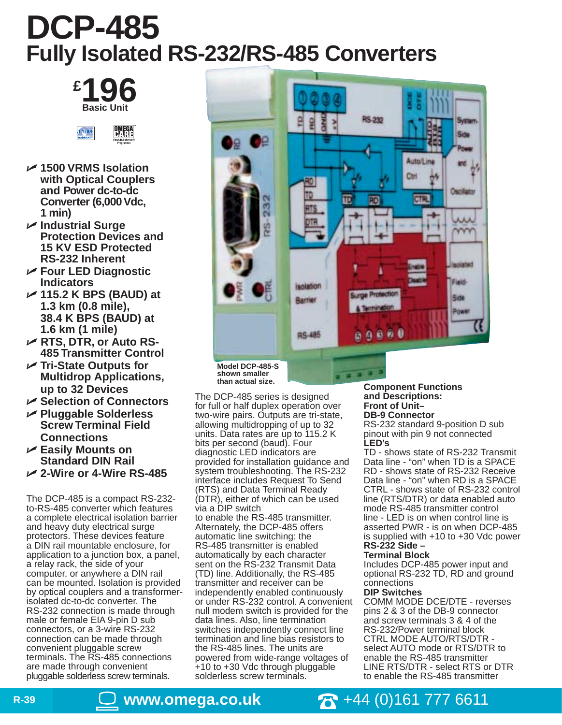# **DCP-485 Fully Isolated RS-232/RS-485 Converters**

**£ 196 Basic Unit**



- **1500 VRMS Isolation with Optical Couplers and Power dc-to-dc Converter (6,000 Vdc, 1 min)**
- **Industrial Surge Protection Devices and 15 KV ESD Protected RS-232 Inherent**
- **Four LED Diagnostic Indicators**
- **115.2 K BPS (BAUD) at 1.3 km (0.8 mile), 38.4 K BPS (BAUD) at 1.6 km (1 mile)**
- **RTS, DTR, or Auto RS-485 Transmitter Control**
- **Tri-State Outputs for Multidrop Applications, up to 32 Devices**
- **Selection of Connectors**
- **Pluggable Solderless Screw Terminal Field Connections**
- **Easily Mounts on Standard DIN Rail**
- **2-Wire or 4-Wire RS-485**

The DCP-485 is a compact RS-232 to-RS-485 converter which features a complete electrical isolation barrier and heavy duty electrical surge protectors. These devices feature a DIN rail mountable enclosure, for application to a junction box, a panel, a relay rack, the side of your computer, or anywhere a DIN rail can be mounted. Isolation is provided by optical couplers and a transformerisolated dc-to-dc converter. The RS-232 connection is made through male or female EIA 9-pin D sub connectors, or a 3-wire RS-232 connection can be made through convenient pluggable screw terminals. The RS-485 connections are made through convenient pluggable solderless screw terminals.



The DCP-485 series is designed for full or half duplex operation over two-wire pairs. Outputs are tri-state, allowing multidropping of up to 32 units. Data rates are up to 115.2 K bits per second (baud). Four diagnostic LED indicators are provided for installation guidance and system troubleshooting. The RS-232 interface includes Request To Send (RTS) and Data Terminal Ready (DTR), either of which can be used via a DIP switch to enable the RS-485 transmitter. Alternately, the DCP-485 offers automatic line switching: the RS-485 transmitter is enabled automatically by each character sent on the RS-232 Transmit Data (TD) line. Additionally, the RS-485 transmitter and receiver can be independently enabled continuously or under RS-232 control. A convenient null modem switch is provided for the data lines. Also, line termination switches independently connect line termination and line bias resistors to the RS-485 lines. The units are powered from wide-range voltages of +10 to +30 Vdc through pluggable solderless screw terminals.

**Component Functions and Descriptions: Front of Unit– DB-9 Connector**

RS-232 standard 9-position D sub pinout with pin 9 not connected **LED's**

TD - shows state of RS-232 Transmit Data line - "on" when TD is a SPACE RD - shows state of RS-232 Receive Data line - "on" when RD is a SPACE CTRL - shows state of RS-232 control line (RTS/DTR) or data enabled auto mode RS-485 transmitter control line - LED is on when control line is asserted PWR - is on when DCP-485 is supplied with +10 to +30 Vdc power **RS-232 Side –**

## **Terminal Block**

Includes DCP-485 power input and optional RS-232 TD, RD and ground connections

## **DIP Switches**

COMM MODE DCE/DTE - reverses pins 2 & 3 of the DB-9 connector and screw terminals 3 & 4 of the RS-232/Power terminal block CTRL MODE AUTO/RTS/DTR select AUTO mode or RTS/DTR to enable the RS-485 transmitter LINE RTS/DTR - select RTS or DTR to enable the RS-485 transmitter